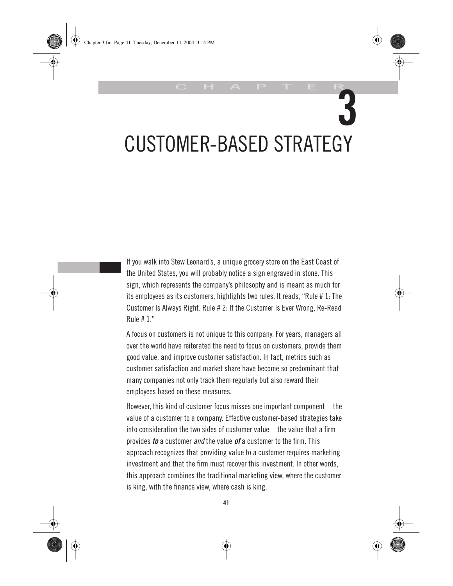# **3** CUSTOMER-BASED STRATEGY

C H A P T E R

If you walk into Stew Leonard's, a unique grocery store on the East Coast of the United States, you will probably notice a sign engraved in stone. This sign, which represents the company's philosophy and is meant as much for its employees as its customers, highlights two rules. It reads, "Rule # 1: The Customer Is Always Right. Rule # 2: If the Customer Is Ever Wrong, Re-Read Rule # 1."

A focus on customers is not unique to this company. For years, managers all over the world have reiterated the need to focus on customers, provide them good value, and improve customer satisfaction. In fact, metrics such as customer satisfaction and market share have become so predominant that many companies not only track them regularly but also reward their employees based on these measures.

However, this kind of customer focus misses one important component—the value of a customer to a company. Effective customer-based strategies take into consideration the two sides of customer value—the value that a firm provides *to* a customer *and* the value *of* a customer to the firm. This approach recognizes that providing value to a customer requires marketing investment and that the firm must recover this investment. In other words, this approach combines the traditional marketing view, where the customer is king, with the finance view, where cash is king.

**41**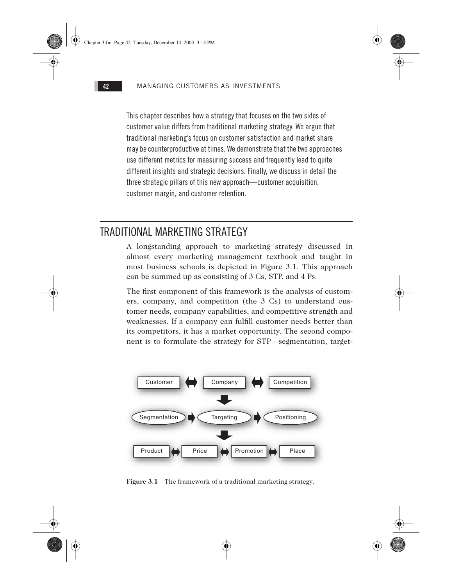This chapter describes how a strategy that focuses on the two sides of customer value differs from traditional marketing strategy. We argue that traditional marketing's focus on customer satisfaction and market share may be counterproductive at times. We demonstrate that the two approaches use different metrics for measuring success and frequently lead to quite different insights and strategic decisions. Finally, we discuss in detail the three strategic pillars of this new approach—customer acquisition, customer margin, and customer retention.

# TRADITIONAL MARKETING STRATEGY

A longstanding approach to marketing strategy discussed in almost every marketing management textbook and taught in most business schools is depicted in Figure 3.1. This approach can be summed up as consisting of 3 Cs, STP, and 4 Ps.

The first component of this framework is the analysis of customers, company, and competition (the 3 Cs) to understand customer needs, company capabilities, and competitive strength and weaknesses. If a company can fulfill customer needs better than its competitors, it has a market opportunity. The second component is to formulate the strategy for STP—segmentation, target-



**Figure 3.1** The framework of a traditional marketing strategy.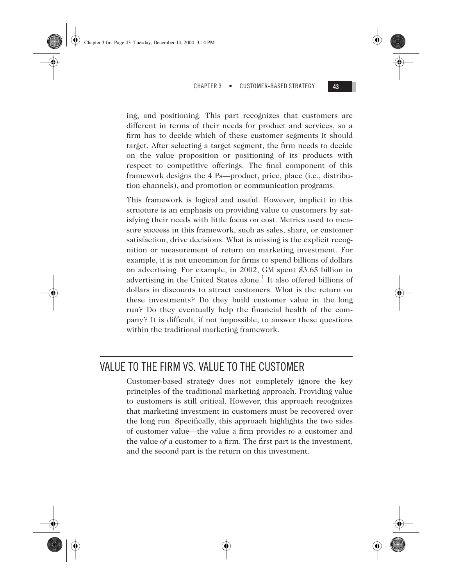ing, and positioning. This part recognizes that customers are different in terms of their needs for product and services, so a firm has to decide which of these customer segments it should target. After selecting a target segment, the firm needs to decide on the value proposition or positioning of its products with respect to competitive offerings. The final component of this framework designs the 4 Ps—product, price, place (i.e., distribution channels), and promotion or communication programs.

Chapter 3.fm Page 43 Tuesday, December 14, 2004 3:14 PM

This framework is logical and useful. However, implicit in this structure is an emphasis on providing value to customers by satisfying their needs with little focus on cost. Metrics used to measure success in this framework, such as sales, share, or customer satisfaction, drive decisions. What is missing is the explicit recognition or measurement of return on marketing investment. For example, it is not uncommon for firms to spend billions of dollars on advertising. For example, in 2002, GM spent \$3.65 billion in advertising in the United States alone.<sup>1</sup> It also offered billions of dollars in discounts to attract customers. What is the return on these investments? Do they build customer value in the long run? Do they eventually help the financial health of the company? It is difficult, if not impossible, to answer these questions within the traditional marketing framework.

# VALUE TO THE FIRM VS. VALUE TO THE CUSTOMER

Customer-based strategy does not completely ignore the key principles of the traditional marketing approach. Providing value to customers is still critical. However, this approach recognizes that marketing investment in customers must be recovered over the long run. Specifically, this approach highlights the two sides of customer value—the value a firm provides *to* a customer and the value *of* a customer to a firm. The first part is the investment, and the second part is the return on this investment.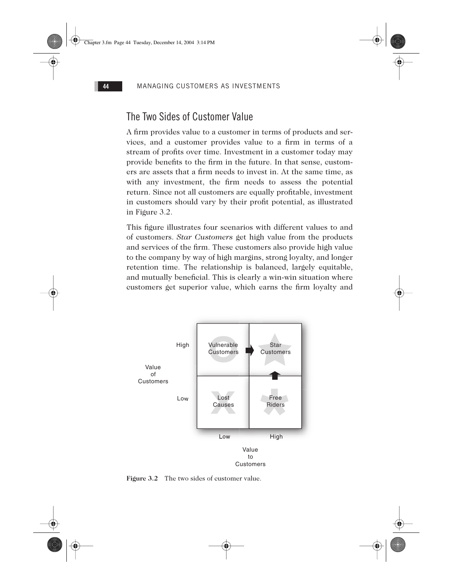# The Two Sides of Customer Value

A firm provides value to a customer in terms of products and services, and a customer provides value to a firm in terms of a stream of profits over time. Investment in a customer today may provide benefits to the firm in the future. In that sense, customers are assets that a firm needs to invest in. At the same time, as with any investment, the firm needs to assess the potential return. Since not all customers are equally profitable, investment in customers should vary by their profit potential, as illustrated in Figure 3.2.

This figure illustrates four scenarios with different values to and of customers. *Star Customers* get high value from the products and services of the firm. These customers also provide high value to the company by way of high margins, strong loyalty, and longer retention time. The relationship is balanced, largely equitable, and mutually beneficial. This is clearly a win-win situation where customers get superior value, which earns the firm loyalty and



## **Figure 3.2** The two sides of customer value.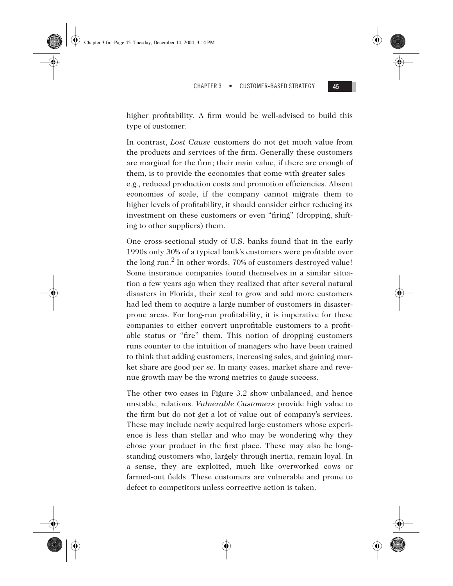

higher profitability. A firm would be well-advised to build this type of customer.

In contrast, *Lost Cause* customers do not get much value from the products and services of the firm. Generally these customers are marginal for the firm; their main value, if there are enough of them, is to provide the economies that come with greater sales e.g., reduced production costs and promotion efficiencies. Absent economies of scale, if the company cannot migrate them to higher levels of profitability, it should consider either reducing its investment on these customers or even "firing" (dropping, shifting to other suppliers) them.

One cross-sectional study of U.S. banks found that in the early 1990s only 30% of a typical bank's customers were profitable over the long run.<sup>2</sup> In other words, 70% of customers destroyed value! Some insurance companies found themselves in a similar situation a few years ago when they realized that after several natural disasters in Florida, their zeal to grow and add more customers had led them to acquire a large number of customers in disasterprone areas. For long-run profitability, it is imperative for these companies to either convert unprofitable customers to a profitable status or "fire" them. This notion of dropping customers runs counter to the intuition of managers who have been trained to think that adding customers, increasing sales, and gaining market share are good *per se*. In many cases, market share and revenue growth may be the wrong metrics to gauge success.

The other two cases in Figure 3.2 show unbalanced, and hence unstable, relations. *Vulnerable Customers* provide high value to the firm but do not get a lot of value out of company's services. These may include newly acquired large customers whose experience is less than stellar and who may be wondering why they chose your product in the first place. These may also be longstanding customers who, largely through inertia, remain loyal. In a sense, they are exploited, much like overworked cows or farmed-out fields. These customers are vulnerable and prone to defect to competitors unless corrective action is taken.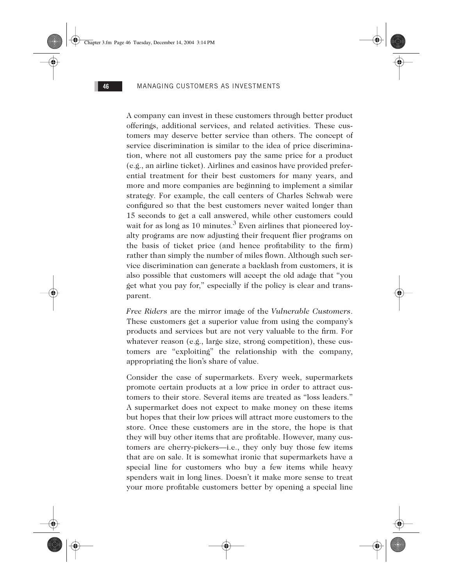A company can invest in these customers through better product offerings, additional services, and related activities. These customers may deserve better service than others. The concept of service discrimination is similar to the idea of price discrimination, where not all customers pay the same price for a product (e.g., an airline ticket). Airlines and casinos have provided preferential treatment for their best customers for many years, and more and more companies are beginning to implement a similar strategy. For example, the call centers of Charles Schwab were configured so that the best customers never waited longer than 15 seconds to get a call answered, while other customers could wait for as long as 10 minutes.<sup>3</sup> Even airlines that pioneered loyalty programs are now adjusting their frequent flier programs on the basis of ticket price (and hence profitability to the firm) rather than simply the number of miles flown. Although such service discrimination can generate a backlash from customers, it is also possible that customers will accept the old adage that "you get what you pay for," especially if the policy is clear and transparent.

*Free Riders* are the mirror image of the *Vulnerable Customers*. These customers get a superior value from using the company's products and services but are not very valuable to the firm. For whatever reason (e.g., large size, strong competition), these customers are "exploiting" the relationship with the company, appropriating the lion's share of value.

Consider the case of supermarkets. Every week, supermarkets promote certain products at a low price in order to attract customers to their store. Several items are treated as "loss leaders." A supermarket does not expect to make money on these items but hopes that their low prices will attract more customers to the store. Once these customers are in the store, the hope is that they will buy other items that are profitable. However, many customers are cherry-pickers—i.e., they only buy those few items that are on sale. It is somewhat ironic that supermarkets have a special line for customers who buy a few items while heavy spenders wait in long lines. Doesn't it make more sense to treat your more profitable customers better by opening a special line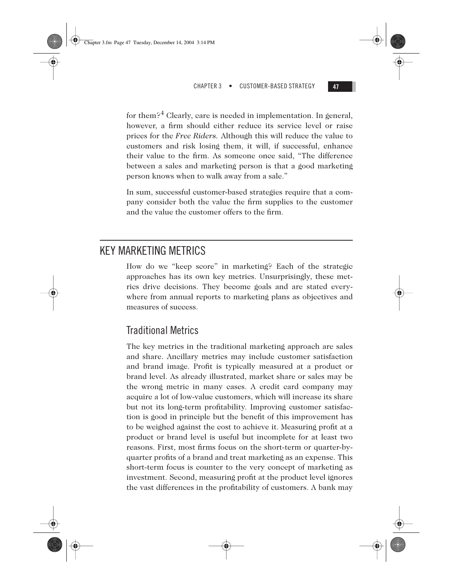

for them?<sup>4</sup> Clearly, care is needed in implementation. In general, however, a firm should either reduce its service level or raise prices for the *Free Riders.* Although this will reduce the value to customers and risk losing them, it will, if successful, enhance their value to the firm. As someone once said, "The difference between a sales and marketing person is that a good marketing person knows when to walk away from a sale."

In sum, successful customer-based strategies require that a company consider both the value the firm supplies to the customer and the value the customer offers to the firm.

# KEY MARKETING METRICS

How do we "keep score" in marketing? Each of the strategic approaches has its own key metrics. Unsurprisingly, these metrics drive decisions. They become goals and are stated everywhere from annual reports to marketing plans as objectives and measures of success.

# Traditional Metrics

The key metrics in the traditional marketing approach are sales and share. Ancillary metrics may include customer satisfaction and brand image. Profit is typically measured at a product or brand level. As already illustrated, market share or sales may be the wrong metric in many cases. A credit card company may acquire a lot of low-value customers, which will increase its share but not its long-term profitability. Improving customer satisfaction is good in principle but the benefit of this improvement has to be weighed against the cost to achieve it. Measuring profit at a product or brand level is useful but incomplete for at least two reasons. First, most firms focus on the short-term or quarter-byquarter profits of a brand and treat marketing as an expense. This short-term focus is counter to the very concept of marketing as investment. Second, measuring profit at the product level ignores the vast differences in the profitability of customers. A bank may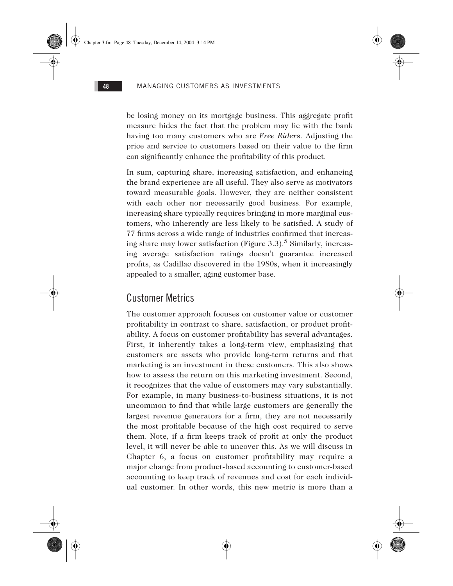be losing money on its mortgage business. This aggregate profit measure hides the fact that the problem may lie with the bank having too many customers who are *Free Riders*. Adjusting the price and service to customers based on their value to the firm can significantly enhance the profitability of this product.

In sum, capturing share, increasing satisfaction, and enhancing the brand experience are all useful. They also serve as motivators toward measurable goals. However, they are neither consistent with each other nor necessarily good business. For example, increasing share typically requires bringing in more marginal customers, who inherently are less likely to be satisfied. A study of 77 firms across a wide range of industries confirmed that increasing share may lower satisfaction (Figure 3.3).<sup>5</sup> Similarly, increasing average satisfaction ratings doesn't guarantee increased profits, as Cadillac discovered in the 1980s, when it increasingly appealed to a smaller, aging customer base.

## Customer Metrics

The customer approach focuses on customer value or customer profitability in contrast to share, satisfaction, or product profitability. A focus on customer profitability has several advantages. First, it inherently takes a long-term view, emphasizing that customers are assets who provide long-term returns and that marketing is an investment in these customers. This also shows how to assess the return on this marketing investment. Second, it recognizes that the value of customers may vary substantially. For example, in many business-to-business situations, it is not uncommon to find that while large customers are generally the largest revenue generators for a firm, they are not necessarily the most profitable because of the high cost required to serve them. Note, if a firm keeps track of profit at only the product level, it will never be able to uncover this. As we will discuss in Chapter 6, a focus on customer profitability may require a major change from product-based accounting to customer-based accounting to keep track of revenues and cost for each individual customer. In other words, this new metric is more than a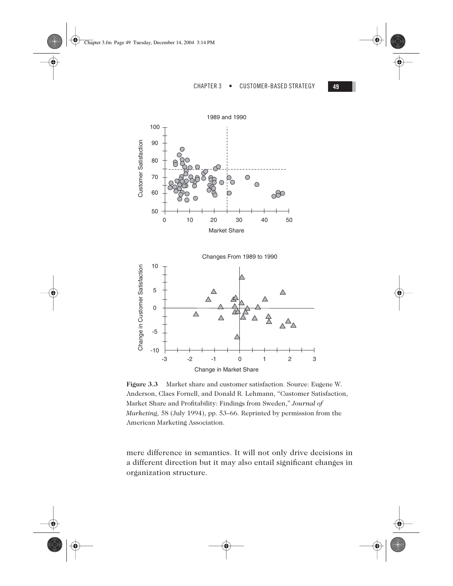







**Figure 3.3** Market share and customer satisfaction. Source: Eugene W. Anderson, Claes Fornell, and Donald R. Lehmann, "Customer Satisfaction, Market Share and Profitability: Findings from Sweden," *Journal of Marketing,* 58 (July 1994), pp. 53–66. Reprinted by permission from the American Marketing Association.

mere difference in semantics. It will not only drive decisions in a different direction but it may also entail significant changes in organization structure.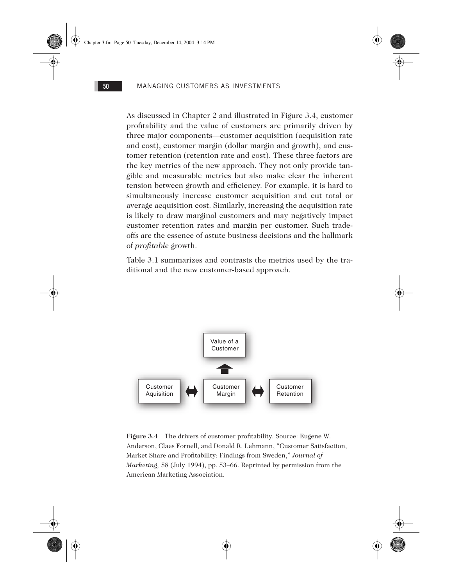As discussed in Chapter 2 and illustrated in Figure 3.4, customer profitability and the value of customers are primarily driven by three major components—customer acquisition (acquisition rate and cost), customer margin (dollar margin and growth), and customer retention (retention rate and cost). These three factors are the key metrics of the new approach. They not only provide tangible and measurable metrics but also make clear the inherent tension between growth and efficiency. For example, it is hard to simultaneously increase customer acquisition and cut total or average acquisition cost. Similarly, increasing the acquisition rate is likely to draw marginal customers and may negatively impact customer retention rates and margin per customer. Such tradeoffs are the essence of astute business decisions and the hallmark of *profitable* growth.

Table 3.1 summarizes and contrasts the metrics used by the traditional and the new customer-based approach.



**Figure 3.4** The drivers of customer profitability. Source: Eugene W. Anderson, Claes Fornell, and Donald R. Lehmann, "Customer Satisfaction, Market Share and Profitability: Findings from Sweden," *Journal of Marketing,* 58 (July 1994), pp. 53–66. Reprinted by permission from the American Marketing Association.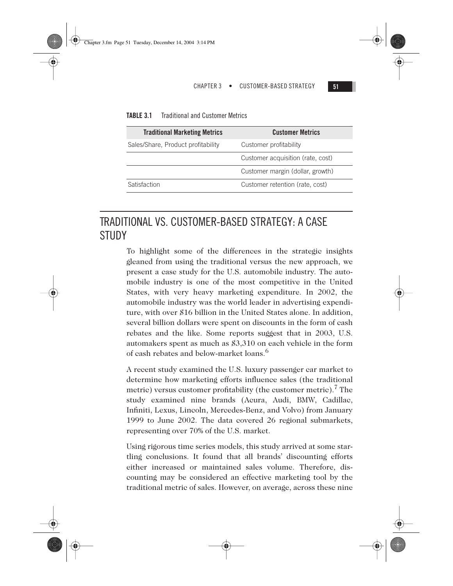| <b>TABLE 3.1</b><br><b>Traditional and Customer Metrics</b> |
|-------------------------------------------------------------|
|                                                             |

| <b>Customer Metrics</b>           |
|-----------------------------------|
| Customer profitability            |
| Customer acquisition (rate, cost) |
| Customer margin (dollar, growth)  |
| Customer retention (rate, cost)   |
|                                   |

# TRADITIONAL VS. CUSTOMER-BASED STRATEGY: A CASE STUDY

To highlight some of the differences in the strategic insights gleaned from using the traditional versus the new approach, we present a case study for the U.S. automobile industry. The automobile industry is one of the most competitive in the United States, with very heavy marketing expenditure. In 2002, the automobile industry was the world leader in advertising expenditure, with over \$16 billion in the United States alone. In addition, several billion dollars were spent on discounts in the form of cash rebates and the like. Some reports suggest that in 2003, U.S. automakers spent as much as \$3,310 on each vehicle in the form of cash rebates and below-market loans.<sup>6</sup>

A recent study examined the U.S. luxury passenger car market to determine how marketing efforts influence sales (the traditional metric) versus customer profitability (the customer metric). The study examined nine brands (Acura, Audi, BMW, Cadillac, Infiniti, Lexus, Lincoln, Mercedes-Benz, and Volvo) from January 1999 to June 2002. The data covered 26 regional submarkets, representing over 70% of the U.S. market.

Using rigorous time series models, this study arrived at some startling conclusions. It found that all brands' discounting efforts either increased or maintained sales volume. Therefore, discounting may be considered an effective marketing tool by the traditional metric of sales. However, on average, across these nine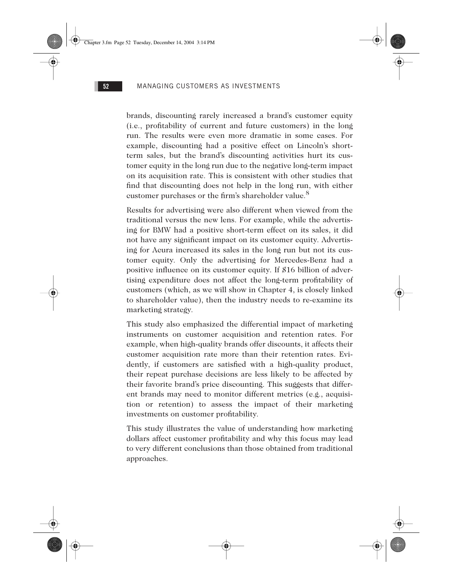brands, discounting rarely increased a brand's customer equity (i.e., profitability of current and future customers) in the long run. The results were even more dramatic in some cases. For example, discounting had a positive effect on Lincoln's shortterm sales, but the brand's discounting activities hurt its customer equity in the long run due to the negative long-term impact on its acquisition rate. This is consistent with other studies that find that discounting does not help in the long run, with either customer purchases or the firm's shareholder value.<sup>8</sup>

Results for advertising were also different when viewed from the traditional versus the new lens. For example, while the advertising for BMW had a positive short-term effect on its sales, it did not have any significant impact on its customer equity. Advertising for Acura increased its sales in the long run but not its customer equity. Only the advertising for Mercedes-Benz had a positive influence on its customer equity. If \$16 billion of advertising expenditure does not affect the long-term profitability of customers (which, as we will show in Chapter 4, is closely linked to shareholder value), then the industry needs to re-examine its marketing strategy.

This study also emphasized the differential impact of marketing instruments on customer acquisition and retention rates. For example, when high-quality brands offer discounts, it affects their customer acquisition rate more than their retention rates. Evidently, if customers are satisfied with a high-quality product, their repeat purchase decisions are less likely to be affected by their favorite brand's price discounting. This suggests that different brands may need to monitor different metrics (e.g., acquisition or retention) to assess the impact of their marketing investments on customer profitability.

This study illustrates the value of understanding how marketing dollars affect customer profitability and why this focus may lead to very different conclusions than those obtained from traditional approaches.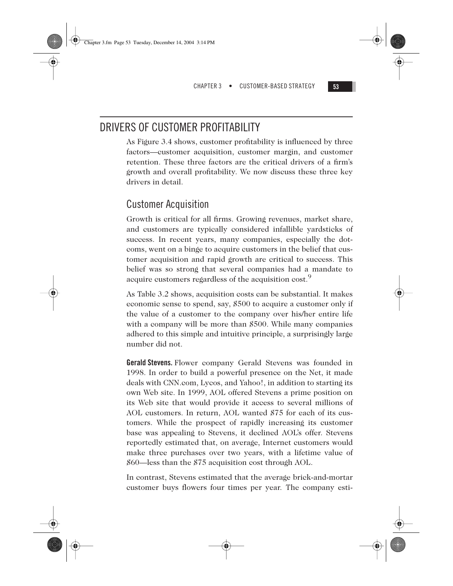# DRIVERS OF CUSTOMER PROFITABILITY

As Figure 3.4 shows, customer profitability is influenced by three factors—customer acquisition, customer margin, and customer retention. These three factors are the critical drivers of a firm's growth and overall profitability. We now discuss these three key drivers in detail.

# Customer Acquisition

Growth is critical for all firms. Growing revenues, market share, and customers are typically considered infallible yardsticks of success. In recent years, many companies, especially the dotcoms, went on a binge to acquire customers in the belief that customer acquisition and rapid growth are critical to success. This belief was so strong that several companies had a mandate to acquire customers regardless of the acquisition cost.<sup>9</sup>

As Table 3.2 shows, acquisition costs can be substantial. It makes economic sense to spend, say, \$500 to acquire a customer only if the value of a customer to the company over his/her entire life with a company will be more than \$500. While many companies adhered to this simple and intuitive principle, a surprisingly large number did not.

**Gerald Stevens.** Flower company Gerald Stevens was founded in 1998. In order to build a powerful presence on the Net, it made deals with CNN.com, Lycos, and Yahoo!, in addition to starting its own Web site. In 1999, AOL offered Stevens a prime position on its Web site that would provide it access to several millions of AOL customers. In return, AOL wanted \$75 for each of its customers. While the prospect of rapidly increasing its customer base was appealing to Stevens, it declined AOL's offer. Stevens reportedly estimated that, on average, Internet customers would make three purchases over two years, with a lifetime value of \$60—less than the \$75 acquisition cost through AOL.

In contrast, Stevens estimated that the average brick-and-mortar customer buys flowers four times per year. The company esti-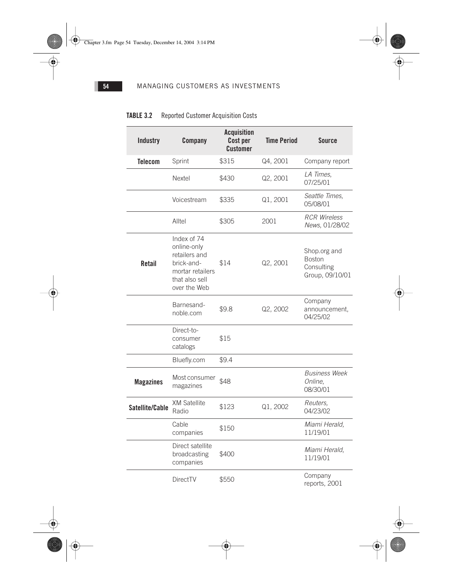$\overline{\bigoplus}$ 

 $\frac{\phi}{\phi}$ 

## **54** MANAGING CUSTOMERS AS INVESTMENTS

# **TABLE 3.2** Reported Customer Acquisition Costs

| <b>Industry</b>  | Company                                                                                                         |                   | <b>Time Period</b>                            | <b>Source</b>                                                  |  |  |
|------------------|-----------------------------------------------------------------------------------------------------------------|-------------------|-----------------------------------------------|----------------------------------------------------------------|--|--|
| <b>Telecom</b>   | Sprint                                                                                                          | \$315<br>Q4, 2001 |                                               | Company report                                                 |  |  |
|                  | Nextel                                                                                                          | \$430             | Q2, 2001                                      | LA Times,<br>07/25/01                                          |  |  |
|                  | Voicestream                                                                                                     | \$335             | Q1, 2001                                      | Seattle Times,<br>05/08/01                                     |  |  |
|                  | Alltel                                                                                                          | \$305             | <b>RCR Wireless</b><br>2001<br>News, 01/28/02 |                                                                |  |  |
| <b>Retail</b>    | Index of 74<br>online-only<br>retailers and<br>brick-and-<br>mortar retailers<br>that also sell<br>over the Web | \$14              | Q2, 2001                                      | Shop.org and<br><b>Boston</b><br>Consulting<br>Group, 09/10/01 |  |  |
|                  | Barnesand-<br>noble.com                                                                                         | \$9.8             | Q2, 2002                                      | Company<br>announcement,<br>04/25/02                           |  |  |
|                  | Direct-to-<br>consumer<br>catalogs                                                                              | \$15              |                                               |                                                                |  |  |
|                  | Bluefly.com                                                                                                     | \$9.4             |                                               |                                                                |  |  |
| <b>Magazines</b> | Most consumer<br>\$48<br>magazines                                                                              |                   |                                               | Business Week<br>Online,<br>08/30/01                           |  |  |
| Satellite/Cable  | <b>XM Satellite</b><br>Radio                                                                                    | \$123             | Q1, 2002                                      | Reuters,<br>04/23/02                                           |  |  |
|                  | Cable<br>companies                                                                                              | \$150             |                                               | Miami Herald,<br>11/19/01                                      |  |  |
|                  | Direct satellite<br>broadcasting<br>companies                                                                   | \$400             |                                               | Miami Herald,<br>11/19/01                                      |  |  |
|                  | <b>DirectTV</b>                                                                                                 | \$550             |                                               | Company<br>reports, 2001                                       |  |  |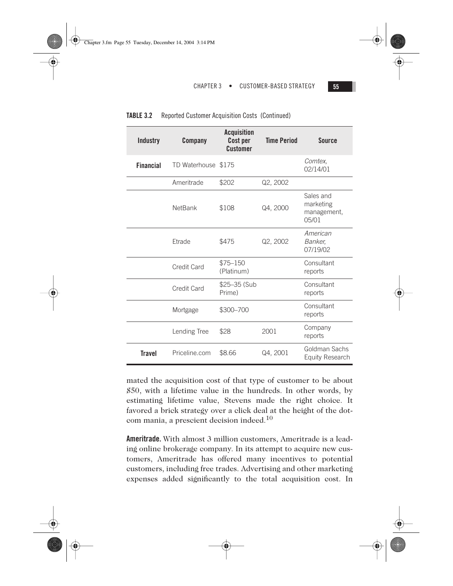| Industry         | Company             | <b>Acquisition</b><br>Cost per<br>Customer | <b>Time Period</b> | Source                                          |
|------------------|---------------------|--------------------------------------------|--------------------|-------------------------------------------------|
| <b>Financial</b> | TD Waterhouse \$175 |                                            |                    | Comtex.<br>02/14/01                             |
|                  | Ameritrade          | \$202                                      | Q2, 2002           |                                                 |
|                  | <b>NetBank</b>      | \$108                                      | Q4, 2000           | Sales and<br>marketing<br>management,<br>0.5/01 |
|                  | Etrade              | \$475                                      | Q2, 2002           | American<br>Banker,<br>07/19/02                 |
|                  | Credit Card         | $$75 - 150$<br>(Platinum)                  |                    | Consultant<br>reports                           |
|                  | Credit Card         | \$25-35 (Sub<br>Prime)                     |                    | Consultant<br>reports                           |
|                  | Mortgage            | \$300-700                                  |                    | Consultant<br>reports                           |
|                  | Lending Tree        | \$28                                       | 2001               | Company<br>reports                              |
| Travel           | Priceline.com       | \$8.66                                     | Q4, 2001           | Goldman Sachs<br><b>Equity Research</b>         |

| TABLE 3.2<br>Reported Customer Acquisition Costs (Continued) |  |
|--------------------------------------------------------------|--|
|--------------------------------------------------------------|--|

mated the acquisition cost of that type of customer to be about \$50, with a lifetime value in the hundreds. In other words, by estimating lifetime value, Stevens made the right choice. It favored a brick strategy over a click deal at the height of the dotcom mania, a prescient decision indeed.<sup>10</sup>

**Ameritrade.** With almost 3 million customers, Ameritrade is a leading online brokerage company. In its attempt to acquire new customers, Ameritrade has offered many incentives to potential customers, including free trades. Advertising and other marketing expenses added significantly to the total acquisition cost. In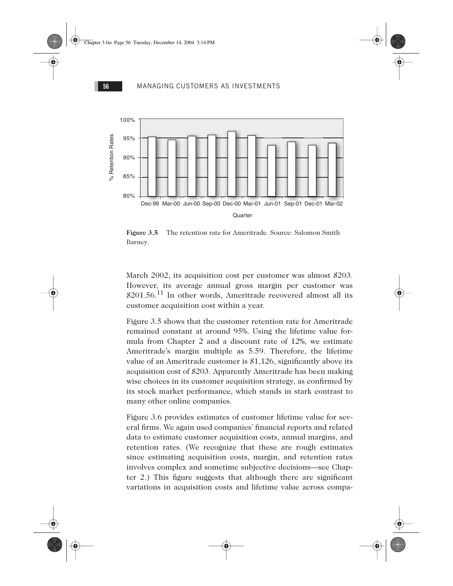

Figure 3.5 The retention rate for Ameritrade. Source: Salomon Smith Barney.

March 2002, its acquisition cost per customer was almost \$203. However, its average annual gross margin per customer was  $$201.56<sup>11</sup>$  In other words, Ameritrade recovered almost all its customer acquisition cost within a year.

Figure 3.5 shows that the customer retention rate for Ameritrade remained constant at around 95%. Using the lifetime value formula from Chapter 2 and a discount rate of 12%, we estimate Ameritrade's margin multiple as 5.59. Therefore, the lifetime value of an Ameritrade customer is \$1,126, significantly above its acquisition cost of \$203. Apparently Ameritrade has been making wise choices in its customer acquisition strategy, as confirmed by its stock market performance, which stands in stark contrast to many other online companies.

Figure 3.6 provides estimates of customer lifetime value for several firms. We again used companies' financial reports and related data to estimate customer acquisition costs, annual margins, and retention rates. (We recognize that these are rough estimates since estimating acquisition costs, margin, and retention rates involves complex and sometime subjective decisions—see Chapter 2.) This figure suggests that although there are significant variations in acquisition costs and lifetime value across compa-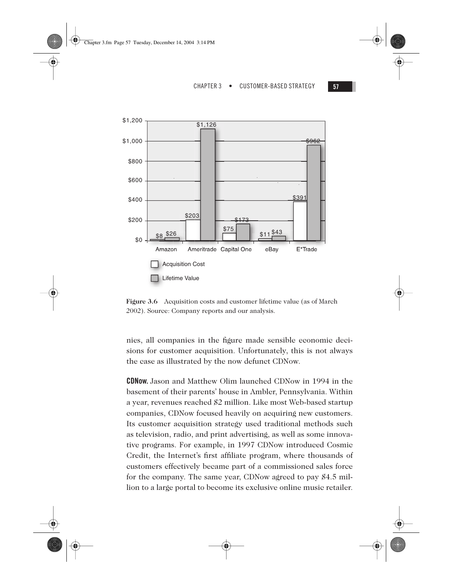





**Figure 3.6** Acquisition costs and customer lifetime value (as of March 2002). Source: Company reports and our analysis.

nies, all companies in the figure made sensible economic decisions for customer acquisition. Unfortunately, this is not always the case as illustrated by the now defunct CDNow.

**CDNow.** Jason and Matthew Olim launched CDNow in 1994 in the basement of their parents' house in Ambler, Pennsylvania. Within a year, revenues reached \$2 million. Like most Web-based startup companies, CDNow focused heavily on acquiring new customers. Its customer acquisition strategy used traditional methods such as television, radio, and print advertising, as well as some innovative programs. For example, in 1997 CDNow introduced Cosmic Credit, the Internet's first affiliate program, where thousands of customers effectively became part of a commissioned sales force for the company. The same year, CDNow agreed to pay \$4.5 million to a large portal to become its exclusive online music retailer.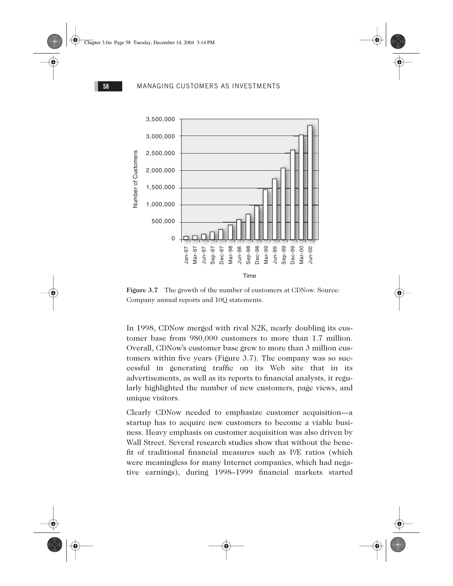

Figure 3.7 The growth of the number of customers at CDNow. Source: Company annual reports and 10Q statements.

In 1998, CDNow merged with rival N2K, nearly doubling its customer base from 980,000 customers to more than 1.7 million. Overall, CDNow's customer base grew to more than 3 million customers within five years (Figure 3.7). The company was so successful in generating traffic on its Web site that in its advertisements, as well as its reports to financial analysts, it regularly highlighted the number of new customers, page views, and unique visitors.

Clearly CDNow needed to emphasize customer acquisition—a startup has to acquire new customers to become a viable business. Heavy emphasis on customer acquisition was also driven by Wall Street. Several research studies show that without the benefit of traditional financial measures such as P/E ratios (which were meaningless for many Internet companies, which had negative earnings), during 1998–1999 financial markets started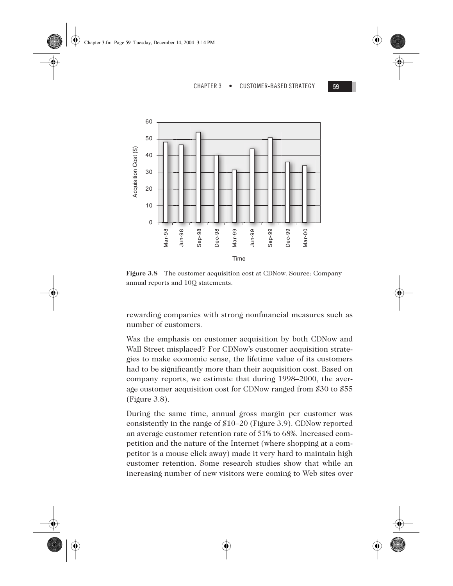



**Figure 3.8** The customer acquisition cost at CDNow. Source: Company annual reports and 10Q statements.

rewarding companies with strong nonfinancial measures such as number of customers.

Was the emphasis on customer acquisition by both CDNow and Wall Street misplaced? For CDNow's customer acquisition strategies to make economic sense, the lifetime value of its customers had to be significantly more than their acquisition cost. Based on company reports, we estimate that during 1998–2000, the average customer acquisition cost for CDNow ranged from \$30 to \$55 (Figure 3.8).

During the same time, annual gross margin per customer was consistently in the range of \$10–20 (Figure 3.9). CDNow reported an average customer retention rate of 51% to 68%. Increased competition and the nature of the Internet (where shopping at a competitor is a mouse click away) made it very hard to maintain high customer retention. Some research studies show that while an increasing number of new visitors were coming to Web sites over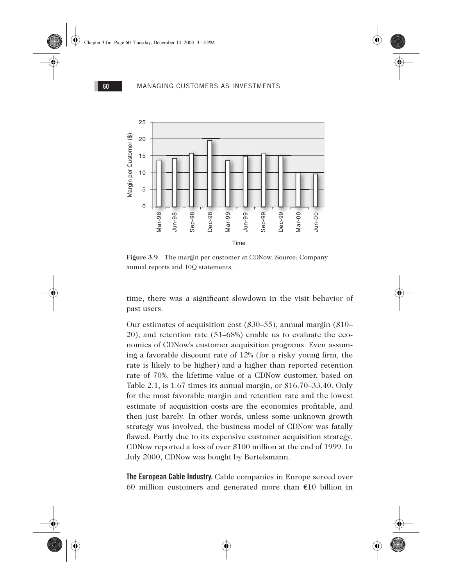

Figure 3.9 The margin per customer at CDNow. Source: Company annual reports and 10Q statements.

time, there was a significant slowdown in the visit behavior of past users.

Our estimates of acquisition cost (\$30–55), annual margin (\$10– 20), and retention rate (51–68%) enable us to evaluate the economics of CDNow's customer acquisition programs. Even assuming a favorable discount rate of 12% (for a risky young firm, the rate is likely to be higher) and a higher than reported retention rate of 70%, the lifetime value of a CDNow customer, based on Table 2.1, is 1.67 times its annual margin, or \$16.70–33.40. Only for the most favorable margin and retention rate and the lowest estimate of acquisition costs are the economics profitable, and then just barely. In other words, unless some unknown growth strategy was involved, the business model of CDNow was fatally flawed. Partly due to its expensive customer acquisition strategy, CDNow reported a loss of over \$100 million at the end of 1999. In July 2000, CDNow was bought by Bertelsmann.

**The European Cable Industry.** Cable companies in Europe served over 60 million customers and generated more than €10 billion in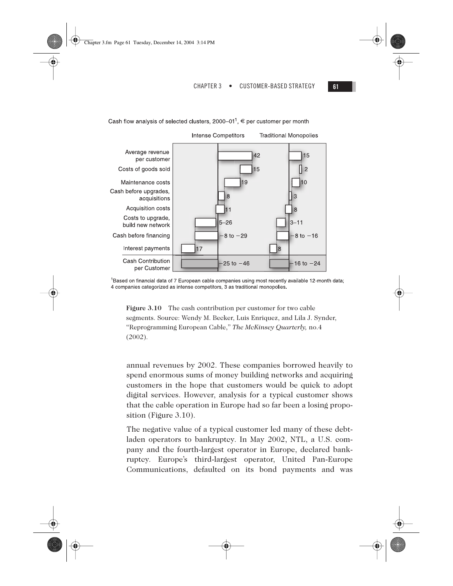Cash flow analysis of selected clusters, 2000–01<sup>1</sup>,  $\epsilon$  per customer per month



<sup>1</sup>Based on financial data of 7 European cable companies using most recently available 12-month data; 4 companies categorized as intense competitors, 3 as traditional monopolies.

**Figure 3.10** The cash contribution per customer for two cable segments. Source: Wendy M. Becker, Luis Enriquez, and Lila J. Synder, "Reprogramming European Cable," *The McKinsey Quarterly,* no.4 (2002).

annual revenues by 2002. These companies borrowed heavily to spend enormous sums of money building networks and acquiring customers in the hope that customers would be quick to adopt digital services. However, analysis for a typical customer shows that the cable operation in Europe had so far been a losing proposition (Figure 3.10).

The negative value of a typical customer led many of these debtladen operators to bankruptcy. In May 2002, NTL, a U.S. company and the fourth-largest operator in Europe, declared bankruptcy. Europe's third-largest operator, United Pan-Europe Communications, defaulted on its bond payments and was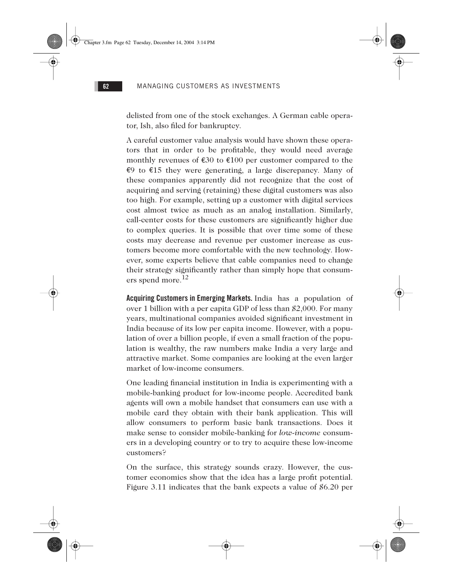delisted from one of the stock exchanges. A German cable operator, Ish, also filed for bankruptcy.

A careful customer value analysis would have shown these operators that in order to be profitable, they would need average monthly revenues of  $\epsilon 30$  to  $\epsilon 100$  per customer compared to the €9 to €15 they were generating, a large discrepancy. Many of these companies apparently did not recognize that the cost of acquiring and serving (retaining) these digital customers was also too high. For example, setting up a customer with digital services cost almost twice as much as an analog installation. Similarly, call-center costs for these customers are significantly higher due to complex queries. It is possible that over time some of these costs may decrease and revenue per customer increase as customers become more comfortable with the new technology. However, some experts believe that cable companies need to change their strategy significantly rather than simply hope that consumers spend more. $^{12}$ 

**Acquiring Customers in Emerging Markets.** India has a population of over 1 billion with a per capita GDP of less than \$2,000. For many years, multinational companies avoided significant investment in India because of its low per capita income. However, with a population of over a billion people, if even a small fraction of the population is wealthy, the raw numbers make India a very large and attractive market. Some companies are looking at the even larger market of low-income consumers.

One leading financial institution in India is experimenting with a mobile-banking product for low-income people. Accredited bank agents will own a mobile handset that consumers can use with a mobile card they obtain with their bank application. This will allow consumers to perform basic bank transactions. Does it make sense to consider mobile-banking for *low-income* consumers in a developing country or to try to acquire these low-income customers?

On the surface, this strategy sounds crazy. However, the customer economics show that the idea has a large profit potential. Figure 3.11 indicates that the bank expects a value of \$6.20 per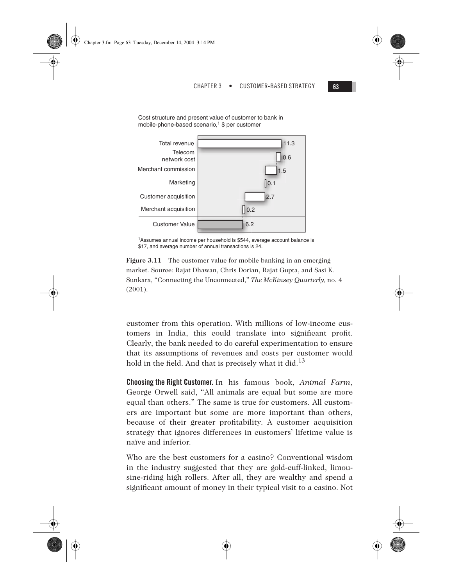



<sup>1</sup>Assumes annual income per household is \$544, average account balance is \$17, and average number of annual transactions is 24.

**Figure 3.11** The customer value for mobile banking in an emerging market. Source: Rajat Dhawan, Chris Dorian, Rajat Gupta, and Sasi K. Sunkara, "Connecting the Unconnected," *The McKinsey Quarterly,* no. 4 (2001).

customer from this operation. With millions of low-income customers in India, this could translate into significant profit. Clearly, the bank needed to do careful experimentation to ensure that its assumptions of revenues and costs per customer would hold in the field. And that is precisely what it did.<sup>13</sup>

**Choosing the Right Customer.** In his famous book, *Animal Farm*, George Orwell said, "All animals are equal but some are more equal than others." The same is true for customers. All customers are important but some are more important than others, because of their greater profitability. A customer acquisition strategy that ignores differences in customers' lifetime value is naïve and inferior.

Who are the best customers for a casino? Conventional wisdom in the industry suggested that they are gold-cuff-linked, limousine-riding high rollers. After all, they are wealthy and spend a significant amount of money in their typical visit to a casino. Not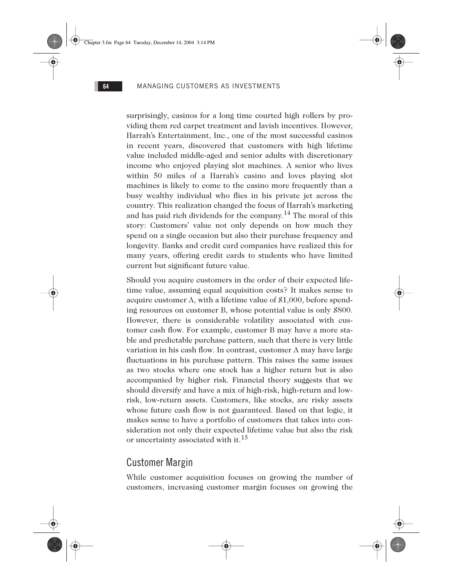surprisingly, casinos for a long time courted high rollers by providing them red carpet treatment and lavish incentives. However, Harrah's Entertainment, Inc., one of the most successful casinos in recent years, discovered that customers with high lifetime value included middle-aged and senior adults with discretionary income who enjoyed playing slot machines. A senior who lives within 50 miles of a Harrah's casino and loves playing slot machines is likely to come to the casino more frequently than a busy wealthy individual who flies in his private jet across the country. This realization changed the focus of Harrah's marketing and has paid rich dividends for the company.<sup>14</sup> The moral of this story: Customers' value not only depends on how much they spend on a single occasion but also their purchase frequency and longevity. Banks and credit card companies have realized this for many years, offering credit cards to students who have limited current but significant future value.

Should you acquire customers in the order of their expected lifetime value, assuming equal acquisition costs? It makes sense to acquire customer A, with a lifetime value of \$1,000, before spending resources on customer B, whose potential value is only \$800. However, there is considerable volatility associated with customer cash flow. For example, customer B may have a more stable and predictable purchase pattern, such that there is very little variation in his cash flow. In contrast, customer A may have large fluctuations in his purchase pattern. This raises the same issues as two stocks where one stock has a higher return but is also accompanied by higher risk. Financial theory suggests that we should diversify and have a mix of high-risk, high-return and lowrisk, low-return assets. Customers, like stocks, are risky assets whose future cash flow is not guaranteed. Based on that logic, it makes sense to have a portfolio of customers that takes into consideration not only their expected lifetime value but also the risk or uncertainty associated with it.<sup>15</sup>

# Customer Margin

While customer acquisition focuses on growing the number of customers, increasing customer margin focuses on growing the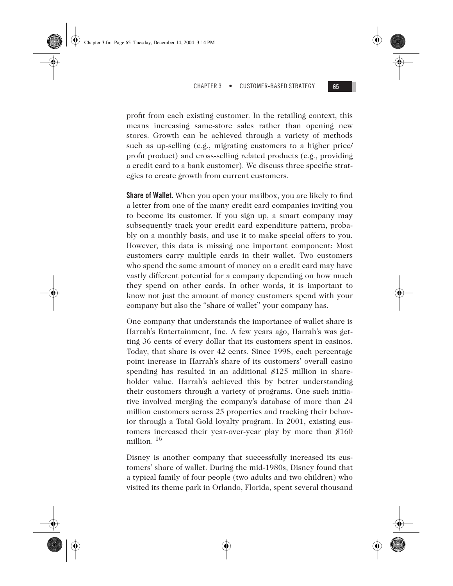profit from each existing customer. In the retailing context, this means increasing same-store sales rather than opening new stores. Growth can be achieved through a variety of methods such as up-selling (e.g., migrating customers to a higher price/ profit product) and cross-selling related products (e.g., providing a credit card to a bank customer). We discuss three specific strategies to create growth from current customers.

**Share of Wallet.** When you open your mailbox, you are likely to find a letter from one of the many credit card companies inviting you to become its customer. If you sign up, a smart company may subsequently track your credit card expenditure pattern, probably on a monthly basis, and use it to make special offers to you. However, this data is missing one important component: Most customers carry multiple cards in their wallet. Two customers who spend the same amount of money on a credit card may have vastly different potential for a company depending on how much they spend on other cards. In other words, it is important to know not just the amount of money customers spend with your company but also the "share of wallet" your company has.

One company that understands the importance of wallet share is Harrah's Entertainment, Inc. A few years ago, Harrah's was getting 36 cents of every dollar that its customers spent in casinos. Today, that share is over 42 cents. Since 1998, each percentage point increase in Harrah's share of its customers' overall casino spending has resulted in an additional \$125 million in shareholder value. Harrah's achieved this by better understanding their customers through a variety of programs. One such initiative involved merging the company's database of more than 24 million customers across 25 properties and tracking their behavior through a Total Gold loyalty program. In 2001, existing customers increased their year-over-year play by more than \$160 million.  $16$ 

Disney is another company that successfully increased its customers' share of wallet. During the mid-1980s, Disney found that a typical family of four people (two adults and two children) who visited its theme park in Orlando, Florida, spent several thousand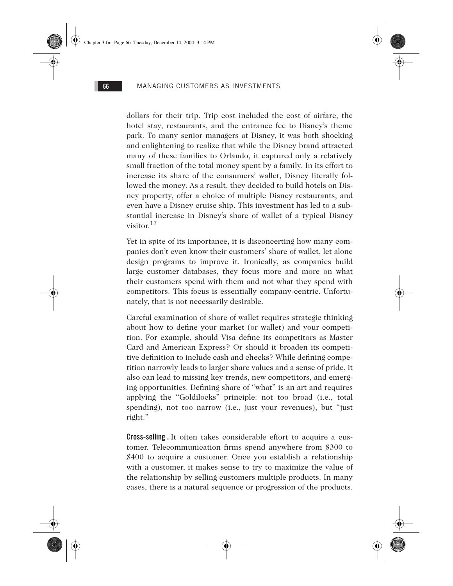dollars for their trip. Trip cost included the cost of airfare, the hotel stay, restaurants, and the entrance fee to Disney's theme park. To many senior managers at Disney, it was both shocking and enlightening to realize that while the Disney brand attracted many of these families to Orlando, it captured only a relatively small fraction of the total money spent by a family. In its effort to increase its share of the consumers' wallet, Disney literally followed the money. As a result, they decided to build hotels on Disney property, offer a choice of multiple Disney restaurants, and even have a Disney cruise ship. This investment has led to a substantial increase in Disney's share of wallet of a typical Disney visitor. $17$ 

Yet in spite of its importance, it is disconcerting how many companies don't even know their customers' share of wallet, let alone design programs to improve it. Ironically, as companies build large customer databases, they focus more and more on what their customers spend with them and not what they spend with competitors. This focus is essentially company-centric. Unfortunately, that is not necessarily desirable.

Careful examination of share of wallet requires strategic thinking about how to define your market (or wallet) and your competition. For example, should Visa define its competitors as Master Card and American Express? Or should it broaden its competitive definition to include cash and checks? While defining competition narrowly leads to larger share values and a sense of pride, it also can lead to missing key trends, new competitors, and emerging opportunities. Defining share of "what" is an art and requires applying the "Goldilocks" principle: not too broad (i.e., total spending), not too narrow (i.e., just your revenues), but "just right."

**Cross-selling .** It often takes considerable effort to acquire a customer. Telecommunication firms spend anywhere from \$300 to \$400 to acquire a customer. Once you establish a relationship with a customer, it makes sense to try to maximize the value of the relationship by selling customers multiple products. In many cases, there is a natural sequence or progression of the products.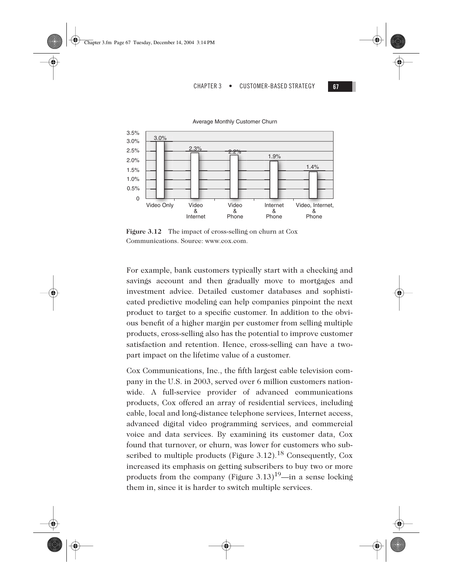

**Figure 3.12** The impact of cross-selling on churn at Cox Communications. Source: www.cox.com.

For example, bank customers typically start with a checking and savings account and then gradually move to mortgages and investment advice. Detailed customer databases and sophisticated predictive modeling can help companies pinpoint the next product to target to a specific customer. In addition to the obvious benefit of a higher margin per customer from selling multiple products, cross-selling also has the potential to improve customer satisfaction and retention. Hence, cross-selling can have a twopart impact on the lifetime value of a customer.

Cox Communications, Inc., the fifth largest cable television company in the U.S. in 2003, served over 6 million customers nationwide. A full-service provider of advanced communications products, Cox offered an array of residential services, including cable, local and long-distance telephone services, Internet access, advanced digital video programming services, and commercial voice and data services. By examining its customer data, Cox found that turnover, or churn, was lower for customers who subscribed to multiple products (Figure 3.12).<sup>18</sup> Consequently, Cox increased its emphasis on getting subscribers to buy two or more products from the company (Figure 3.13)<sup>19</sup>—in a sense locking them in, since it is harder to switch multiple services.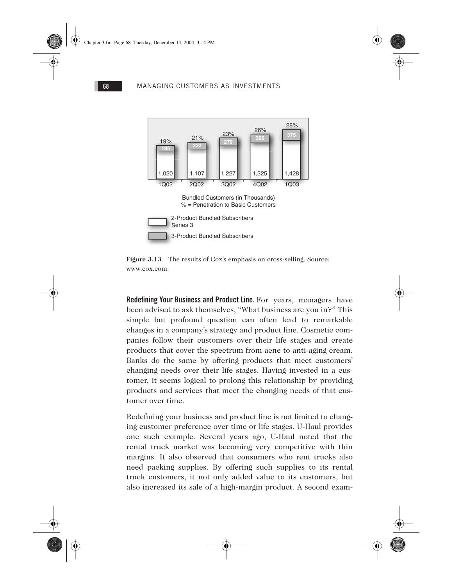





**Redefining Your Business and Product Line.** For years, managers have been advised to ask themselves, "What business are you in?" This simple but profound question can often lead to remarkable changes in a company's strategy and product line. Cosmetic companies follow their customers over their life stages and create products that cover the spectrum from acne to anti-aging cream. Banks do the same by offering products that meet customers' changing needs over their life stages. Having invested in a customer, it seems logical to prolong this relationship by providing products and services that meet the changing needs of that customer over time.

Redefining your business and product line is not limited to changing customer preference over time or life stages. U-Haul provides one such example. Several years ago, U-Haul noted that the rental truck market was becoming very competitive with thin margins. It also observed that consumers who rent trucks also need packing supplies. By offering such supplies to its rental truck customers, it not only added value to its customers, but also increased its sale of a high-margin product. A second exam-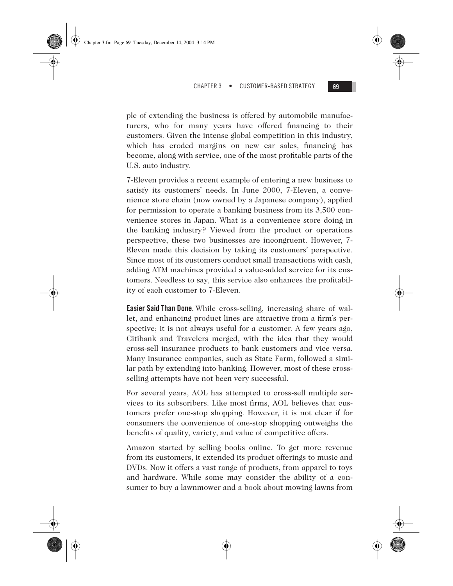ple of extending the business is offered by automobile manufacturers, who for many years have offered financing to their customers. Given the intense global competition in this industry, which has eroded margins on new car sales, financing has become, along with service, one of the most profitable parts of the U.S. auto industry.

Chapter 3.fm Page 69 Tuesday, December 14, 2004 3:14 PM

7-Eleven provides a recent example of entering a new business to satisfy its customers' needs. In June 2000, 7-Eleven, a convenience store chain (now owned by a Japanese company), applied for permission to operate a banking business from its 3,500 convenience stores in Japan. What is a convenience store doing in the banking industry? Viewed from the product or operations perspective, these two businesses are incongruent. However, 7- Eleven made this decision by taking its customers' perspective. Since most of its customers conduct small transactions with cash, adding ATM machines provided a value-added service for its customers. Needless to say, this service also enhances the profitability of each customer to 7-Eleven.

**Easier Said Than Done.** While cross-selling, increasing share of wallet, and enhancing product lines are attractive from a firm's perspective; it is not always useful for a customer. A few years ago, Citibank and Travelers merged, with the idea that they would cross-sell insurance products to bank customers and vice versa. Many insurance companies, such as State Farm, followed a similar path by extending into banking. However, most of these crossselling attempts have not been very successful.

For several years, AOL has attempted to cross-sell multiple services to its subscribers. Like most firms, AOL believes that customers prefer one-stop shopping. However, it is not clear if for consumers the convenience of one-stop shopping outweighs the benefits of quality, variety, and value of competitive offers.

Amazon started by selling books online. To get more revenue from its customers, it extended its product offerings to music and DVDs. Now it offers a vast range of products, from apparel to toys and hardware. While some may consider the ability of a consumer to buy a lawnmower and a book about mowing lawns from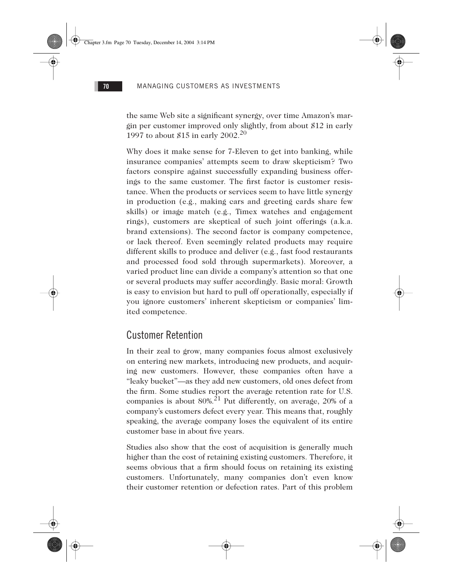the same Web site a significant synergy, over time Amazon's margin per customer improved only slightly, from about \$12 in early 1997 to about \$15 in early  $2002.^{20}$ 

Why does it make sense for 7-Eleven to get into banking, while insurance companies' attempts seem to draw skepticism? Two factors conspire against successfully expanding business offerings to the same customer. The first factor is customer resistance. When the products or services seem to have little synergy in production (e.g., making cars and greeting cards share few skills) or image match (e.g., Timex watches and engagement rings), customers are skeptical of such joint offerings (a.k.a. brand extensions). The second factor is company competence, or lack thereof. Even seemingly related products may require different skills to produce and deliver (e.g., fast food restaurants and processed food sold through supermarkets). Moreover, a varied product line can divide a company's attention so that one or several products may suffer accordingly. Basic moral: Growth is easy to envision but hard to pull off operationally, especially if you ignore customers' inherent skepticism or companies' limited competence.

# Customer Retention

In their zeal to grow, many companies focus almost exclusively on entering new markets, introducing new products, and acquiring new customers. However, these companies often have a "leaky bucket"—as they add new customers, old ones defect from the firm. Some studies report the average retention rate for U.S. companies is about  $80\%$ <sup>21</sup> Put differently, on average, 20% of a company's customers defect every year. This means that, roughly speaking, the average company loses the equivalent of its entire customer base in about five years.

Studies also show that the cost of acquisition is generally much higher than the cost of retaining existing customers. Therefore, it seems obvious that a firm should focus on retaining its existing customers. Unfortunately, many companies don't even know their customer retention or defection rates. Part of this problem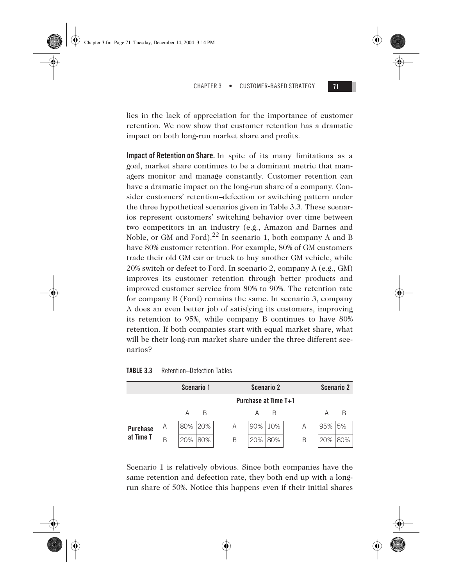

lies in the lack of appreciation for the importance of customer retention. We now show that customer retention has a dramatic impact on both long-run market share and profits.

**Impact of Retention on Share.** In spite of its many limitations as a goal, market share continues to be a dominant metric that managers monitor and manage constantly. Customer retention can have a dramatic impact on the long-run share of a company. Consider customers' retention–defection or switching pattern under the three hypothetical scenarios given in Table 3.3. These scenarios represent customers' switching behavior over time between two competitors in an industry (e.g., Amazon and Barnes and Noble, or GM and Ford).<sup>22</sup> In scenario 1, both company A and B have 80% customer retention. For example, 80% of GM customers trade their old GM car or truck to buy another GM vehicle, while 20% switch or defect to Ford. In scenario 2, company A (e.g., GM) improves its customer retention through better products and improved customer service from 80% to 90%. The retention rate for company B (Ford) remains the same. In scenario 3, company A does an even better job of satisfying its customers, improving its retention to 95%, while company B continues to have 80% retention. If both companies start with equal market share, what will be their long-run market share under the three different scenarios?

## **TABLE 3.3** Retention–Defection Tables

Chapter 3.fm Page 71 Tuesday, December 14, 2004 3:14 PM

|                 |   |                      | Scenario 1 |   |     | <b>Scenario 2</b> |  |   |     | Scenario 2 |
|-----------------|---|----------------------|------------|---|-----|-------------------|--|---|-----|------------|
|                 |   | Purchase at Time T+1 |            |   |     |                   |  |   |     |            |
|                 |   | Α                    | В          |   |     | В                 |  |   | Α   | В          |
| <b>Purchase</b> | A | 80%                  | 20%        | A | 90% | 10%               |  | A | 95% | 5%         |
| at Time T       | B | 20%                  | 80%        | B | 20% | 80%               |  | B | 20% | 80%        |

Scenario 1 is relatively obvious. Since both companies have the same retention and defection rate, they both end up with a longrun share of 50%. Notice this happens even if their initial shares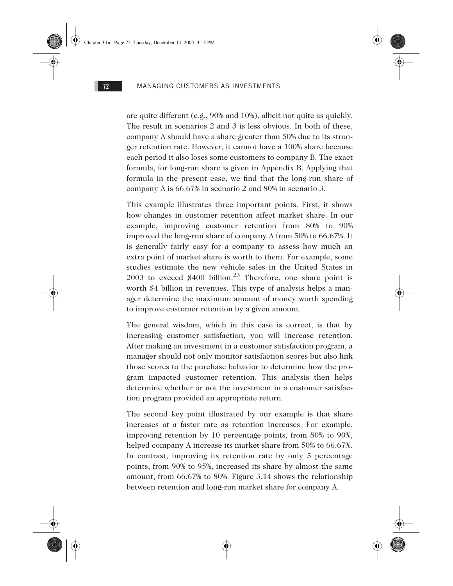are quite different (e.g., 90% and 10%), albeit not quite as quickly. The result in scenarios 2 and 3 is less obvious. In both of these, company A should have a share greater than 50% due to its stronger retention rate. However, it cannot have a 100% share because each period it also loses some customers to company B. The exact formula, for long-run share is given in Appendix B. Applying that formula in the present case, we find that the long-run share of company A is 66.67% in scenario 2 and 80% in scenario 3.

This example illustrates three important points. First, it shows how changes in customer retention affect market share. In our example, improving customer retention from 80% to 90% improved the long-run share of company A from 50% to 66.67%. It is generally fairly easy for a company to assess how much an extra point of market share is worth to them. For example, some studies estimate the new vehicle sales in the United States in 2003 to exceed  $$400$  billion.<sup>23</sup> Therefore, one share point is worth \$4 billion in revenues. This type of analysis helps a manager determine the maximum amount of money worth spending to improve customer retention by a given amount.

The general wisdom, which in this case is correct, is that by increasing customer satisfaction, you will increase retention. After making an investment in a customer satisfaction program, a manager should not only monitor satisfaction scores but also link those scores to the purchase behavior to determine how the program impacted customer retention. This analysis then helps determine whether or not the investment in a customer satisfaction program provided an appropriate return.

The second key point illustrated by our example is that share increases at a faster rate as retention increases. For example, improving retention by 10 percentage points, from 80% to 90%, helped company A increase its market share from 50% to 66.67%. In contrast, improving its retention rate by only 5 percentage points, from 90% to 95%, increased its share by almost the same amount, from 66.67% to 80%. Figure 3.14 shows the relationship between retention and long-run market share for company A.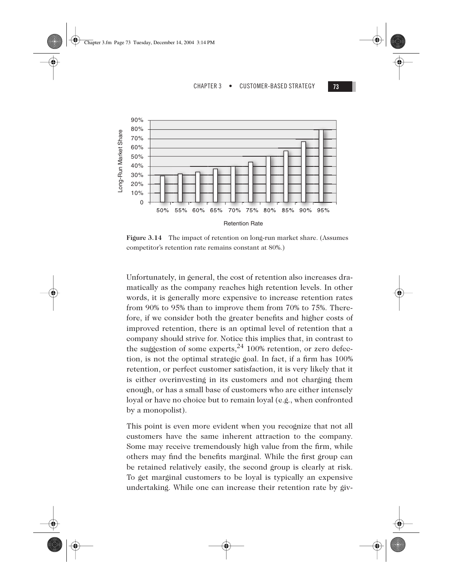



**Figure 3.14** The impact of retention on long-run market share. (Assumes competitor's retention rate remains constant at 80%.)

Unfortunately, in general, the cost of retention also increases dramatically as the company reaches high retention levels. In other words, it is generally more expensive to increase retention rates from 90% to 95% than to improve them from 70% to 75%. Therefore, if we consider both the greater benefits and higher costs of improved retention, there is an optimal level of retention that a company should strive for. Notice this implies that, in contrast to the suggestion of some experts,  $^{24}$  100% retention, or zero defection, is not the optimal strategic goal. In fact, if a firm has 100% retention, or perfect customer satisfaction, it is very likely that it is either overinvesting in its customers and not charging them enough, or has a small base of customers who are either intensely loyal or have no choice but to remain loyal (e.g., when confronted by a monopolist).

This point is even more evident when you recognize that not all customers have the same inherent attraction to the company. Some may receive tremendously high value from the firm, while others may find the benefits marginal. While the first group can be retained relatively easily, the second group is clearly at risk. To get marginal customers to be loyal is typically an expensive undertaking. While one can increase their retention rate by giv-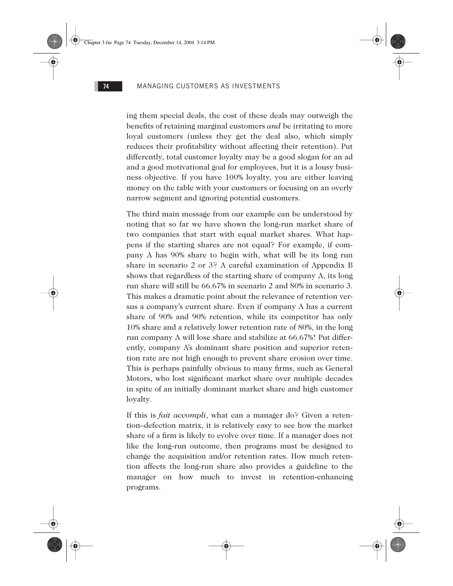ing them special deals, the cost of these deals may outweigh the benefits of retaining marginal customers *and* be irritating to more loyal customers (unless they get the deal also, which simply reduces their profitability without affecting their retention). Put differently, total customer loyalty may be a good slogan for an ad and a good motivational goal for employees, but it is a lousy business objective. If you have 100% loyalty, you are either leaving money on the table with your customers or focusing on an overly narrow segment and ignoring potential customers.

The third main message from our example can be understood by noting that so far we have shown the long-run market share of two companies that start with equal market shares. What happens if the starting shares are not equal? For example, if company A has 90% share to begin with, what will be its long run share in scenario 2 or 3? A careful examination of Appendix B shows that regardless of the starting share of company A, its long run share will still be 66.67% in scenario 2 and 80% in scenario 3. This makes a dramatic point about the relevance of retention versus a company's current share. Even if company A has a current share of 90% and 90% retention, while its competitor has only 10% share and a relatively lower retention rate of 80%, in the long run company A will lose share and stabilize at 66.67%! Put differently, company A's dominant share position and superior retention rate are not high enough to prevent share erosion over time. This is perhaps painfully obvious to many firms, such as General Motors, who lost significant market share over multiple decades in spite of an initially dominant market share and high customer loyalty.

If this is *fait accompli*, what can a manager do? Given a retention–defection matrix, it is relatively easy to see how the market share of a firm is likely to evolve over time. If a manager does not like the long-run outcome, then programs must be designed to change the acquisition and/or retention rates. How much retention affects the long-run share also provides a guideline to the manager on how much to invest in retention-enhancing programs.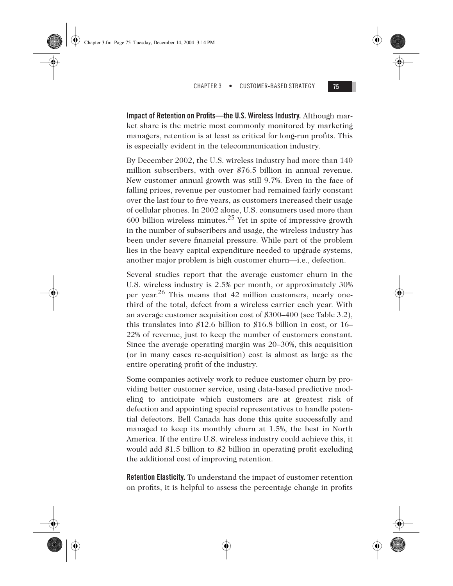Chapter 3.fm Page 75 Tuesday, December 14, 2004 3:14 PM

CHAPTER 3 • CUSTOMER-BASED STRATEGY **75**

**Impact of Retention on Profits—the U.S. Wireless Industry.** Although market share is the metric most commonly monitored by marketing managers, retention is at least as critical for long-run profits. This is especially evident in the telecommunication industry.

By December 2002, the U.S. wireless industry had more than 140 million subscribers, with over \$76.5 billion in annual revenue. New customer annual growth was still 9.7%. Even in the face of falling prices, revenue per customer had remained fairly constant over the last four to five years, as customers increased their usage of cellular phones. In 2002 alone, U.S. consumers used more than 600 billion wireless minutes.<sup>25</sup> Yet in spite of impressive growth in the number of subscribers and usage, the wireless industry has been under severe financial pressure. While part of the problem lies in the heavy capital expenditure needed to upgrade systems, another major problem is high customer churn—i.e., defection.

Several studies report that the average customer churn in the U.S. wireless industry is 2.5% per month, or approximately 30% per year.<sup>26</sup> This means that 42 million customers, nearly onethird of the total, defect from a wireless carrier each year. With an average customer acquisition cost of \$300–400 (see Table 3.2), this translates into \$12.6 billion to \$16.8 billion in cost, or 16– 22% of revenue, just to keep the number of customers constant. Since the average operating margin was 20–30%, this acquisition (or in many cases re-acquisition) cost is almost as large as the entire operating profit of the industry.

Some companies actively work to reduce customer churn by providing better customer service, using data-based predictive modeling to anticipate which customers are at greatest risk of defection and appointing special representatives to handle potential defectors. Bell Canada has done this quite successfully and managed to keep its monthly churn at 1.5%, the best in North America. If the entire U.S. wireless industry could achieve this, it would add \$1.5 billion to \$2 billion in operating profit excluding the additional cost of improving retention.

**Retention Elasticity.** To understand the impact of customer retention on profits, it is helpful to assess the percentage change in profits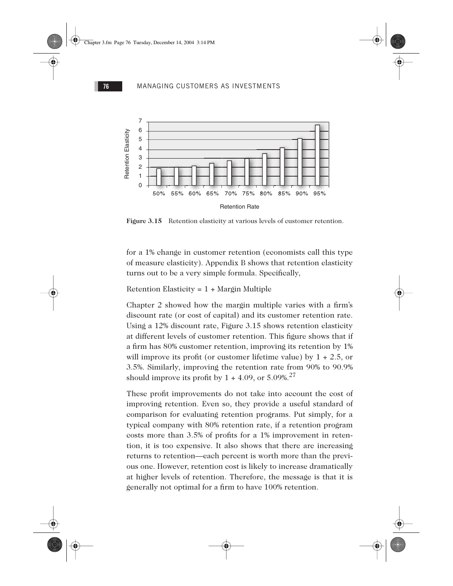

**Figure 3.15** Retention elasticity at various levels of customer retention.

for a 1% change in customer retention (economists call this type of measure elasticity). Appendix B shows that retention elasticity turns out to be a very simple formula. Specifically,

Retention Elasticity = 1 + Margin Multiple

Chapter 2 showed how the margin multiple varies with a firm's discount rate (or cost of capital) and its customer retention rate. Using a 12% discount rate, Figure 3.15 shows retention elasticity at different levels of customer retention. This figure shows that if a firm has 80% customer retention, improving its retention by 1% will improve its profit (or customer lifetime value) by  $1 + 2.5$ , or 3.5%. Similarly, improving the retention rate from 90% to 90.9% should improve its profit by  $1 + 4.09$ , or  $5.09\%$ <sup>27</sup>

These profit improvements do not take into account the cost of improving retention. Even so, they provide a useful standard of comparison for evaluating retention programs. Put simply, for a typical company with 80% retention rate, if a retention program costs more than 3.5% of profits for a 1% improvement in retention, it is too expensive. It also shows that there are increasing returns to retention—each percent is worth more than the previous one. However, retention cost is likely to increase dramatically at higher levels of retention. Therefore, the message is that it is generally not optimal for a firm to have 100% retention.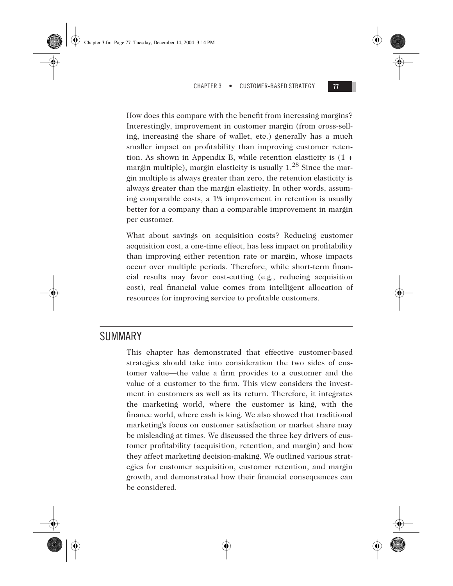Chapter 3.fm Page 77 Tuesday, December 14, 2004 3:14 PM

#### CHAPTER 3 • CUSTOMER-BASED STRATEGY **77**

![](_page_36_Picture_2.jpeg)

How does this compare with the benefit from increasing margins? Interestingly, improvement in customer margin (from cross-selling, increasing the share of wallet, etc.) generally has a much smaller impact on profitability than improving customer retention. As shown in Appendix B, while retention elasticity is (1 + margin multiple), margin elasticity is usually  $1.^{28}$  Since the margin multiple is always greater than zero, the retention elasticity is always greater than the margin elasticity. In other words, assuming comparable costs, a 1% improvement in retention is usually better for a company than a comparable improvement in margin per customer.

What about savings on acquisition costs? Reducing customer acquisition cost, a one-time effect, has less impact on profitability than improving either retention rate or margin, whose impacts occur over multiple periods. Therefore, while short-term financial results may favor cost-cutting (e.g., reducing acquisition cost), real financial value comes from intelligent allocation of resources for improving service to profitable customers.

# SUMMARY

This chapter has demonstrated that effective customer-based strategies should take into consideration the two sides of customer value—the value a firm provides to a customer and the value of a customer to the firm. This view considers the investment in customers as well as its return. Therefore, it integrates the marketing world, where the customer is king, with the finance world, where cash is king. We also showed that traditional marketing's focus on customer satisfaction or market share may be misleading at times. We discussed the three key drivers of customer profitability (acquisition, retention, and margin) and how they affect marketing decision-making. We outlined various strategies for customer acquisition, customer retention, and margin growth, and demonstrated how their financial consequences can be considered.